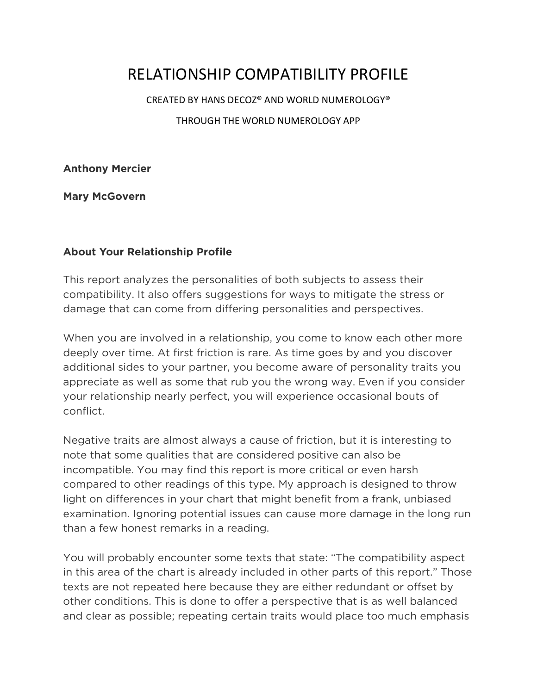# RELATIONSHIP COMPATIBILITY PROFILE

CREATED BY HANS DECOZ® AND WORLD NUMEROLOGY®

THROUGH THE WORLD NUMEROLOGY APP

**Anthony Mercier**

**Mary McGovern**

#### **About Your Relationship Profile**

This report analyzes the personalities of both subjects to assess their compatibility. It also offers suggestions for ways to mitigate the stress or damage that can come from differing personalities and perspectives.

When you are involved in a relationship, you come to know each other more deeply over time. At first friction is rare. As time goes by and you discover additional sides to your partner, you become aware of personality traits you appreciate as well as some that rub you the wrong way. Even if you consider your relationship nearly perfect, you will experience occasional bouts of conflict.

Negative traits are almost always a cause of friction, but it is interesting to note that some qualities that are considered positive can also be incompatible. You may find this report is more critical or even harsh compared to other readings of this type. My approach is designed to throw light on differences in your chart that might benefit from a frank, unbiased examination. Ignoring potential issues can cause more damage in the long run than a few honest remarks in a reading.

You will probably encounter some texts that state: "The compatibility aspect in this area of the chart is already included in other parts of this report." Those texts are not repeated here because they are either redundant or offset by other conditions. This is done to offer a perspective that is as well balanced and clear as possible; repeating certain traits would place too much emphasis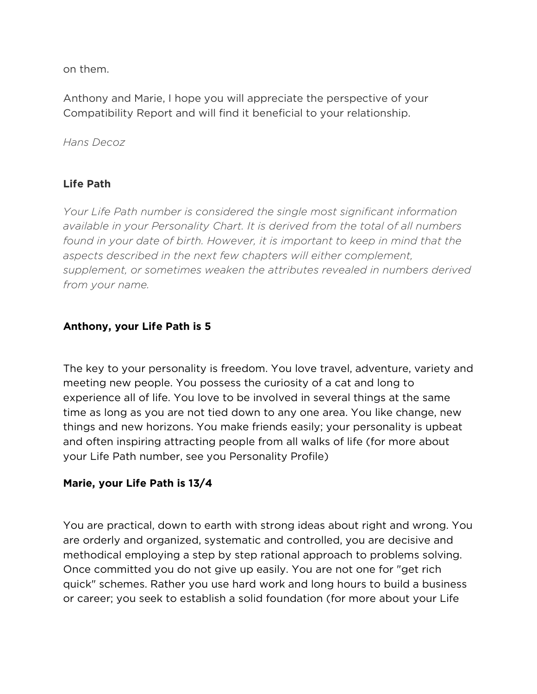on them.

Anthony and Marie, I hope you will appreciate the perspective of your Compatibility Report and will find it beneficial to your relationship.

*Hans Decoz*

# **Life Path**

*Your Life Path number is considered the single most significant information available in your Personality Chart. It is derived from the total of all numbers*  found in your date of birth. However, it is important to keep in mind that the *aspects described in the next few chapters will either complement, supplement, or sometimes weaken the attributes revealed in numbers derived from your name.*

# **Anthony, your Life Path is 5**

The key to your personality is freedom. You love travel, adventure, variety and meeting new people. You possess the curiosity of a cat and long to experience all of life. You love to be involved in several things at the same time as long as you are not tied down to any one area. You like change, new things and new horizons. You make friends easily; your personality is upbeat and often inspiring attracting people from all walks of life (for more about your Life Path number, see you Personality Profile)

# **Marie, your Life Path is 13/4**

You are practical, down to earth with strong ideas about right and wrong. You are orderly and organized, systematic and controlled, you are decisive and methodical employing a step by step rational approach to problems solving. Once committed you do not give up easily. You are not one for "get rich quick" schemes. Rather you use hard work and long hours to build a business or career; you seek to establish a solid foundation (for more about your Life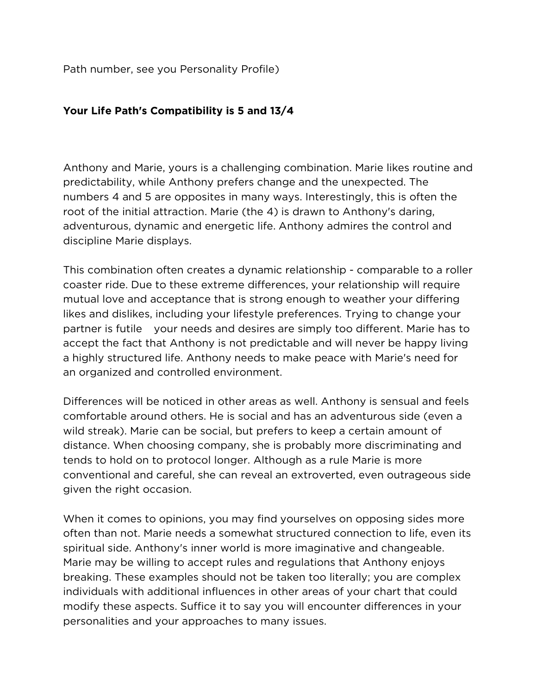Path number, see you Personality Profile)

#### **Your Life Path's Compatibility is 5 and 13/4**

Anthony and Marie, yours is a challenging combination. Marie likes routine and predictability, while Anthony prefers change and the unexpected. The numbers 4 and 5 are opposites in many ways. Interestingly, this is often the root of the initial attraction. Marie (the 4) is drawn to Anthony's daring, adventurous, dynamic and energetic life. Anthony admires the control and discipline Marie displays.

This combination often creates a dynamic relationship - comparable to a roller coaster ride. Due to these extreme differences, your relationship will require mutual love and acceptance that is strong enough to weather your differing likes and dislikes, including your lifestyle preferences. Trying to change your partner is futile your needs and desires are simply too different. Marie has to accept the fact that Anthony is not predictable and will never be happy living a highly structured life. Anthony needs to make peace with Marie's need for an organized and controlled environment.

Differences will be noticed in other areas as well. Anthony is sensual and feels comfortable around others. He is social and has an adventurous side (even a wild streak). Marie can be social, but prefers to keep a certain amount of distance. When choosing company, she is probably more discriminating and tends to hold on to protocol longer. Although as a rule Marie is more conventional and careful, she can reveal an extroverted, even outrageous side given the right occasion.

When it comes to opinions, you may find yourselves on opposing sides more often than not. Marie needs a somewhat structured connection to life, even its spiritual side. Anthony's inner world is more imaginative and changeable. Marie may be willing to accept rules and regulations that Anthony enjoys breaking. These examples should not be taken too literally; you are complex individuals with additional influences in other areas of your chart that could modify these aspects. Suffice it to say you will encounter differences in your personalities and your approaches to many issues.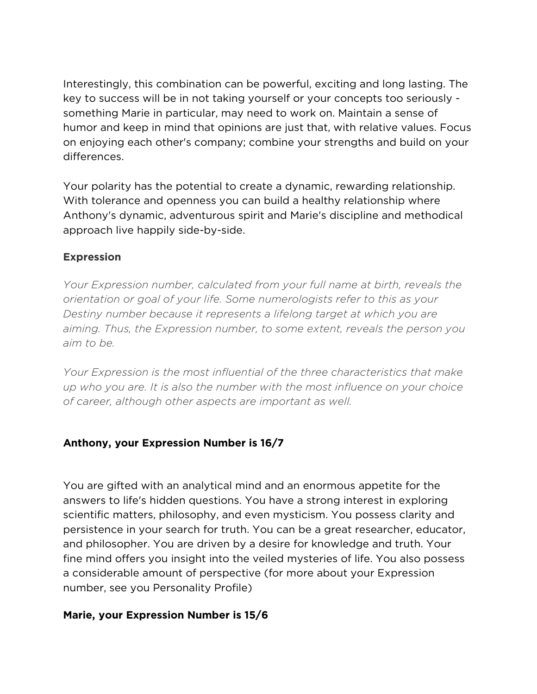Interestingly, this combination can be powerful, exciting and long lasting. The key to success will be in not taking yourself or your concepts too seriously something Marie in particular, may need to work on. Maintain a sense of humor and keep in mind that opinions are just that, with relative values. Focus on enjoying each other's company; combine your strengths and build on your differences.

Your polarity has the potential to create a dynamic, rewarding relationship. With tolerance and openness you can build a healthy relationship where Anthony's dynamic, adventurous spirit and Marie's discipline and methodical approach live happily side-by-side.

### **Expression**

*Your Expression number, calculated from your full name at birth, reveals the orientation or goal of your life. Some numerologists refer to this as your Destiny number because it represents a lifelong target at which you are aiming. Thus, the Expression number, to some extent, reveals the person you aim to be.*

*Your Expression is the most influential of the three characteristics that make up who you are. It is also the number with the most influence on your choice of career, although other aspects are important as well.*

# **Anthony, your Expression Number is 16/7**

You are gifted with an analytical mind and an enormous appetite for the answers to life's hidden questions. You have a strong interest in exploring scientific matters, philosophy, and even mysticism. You possess clarity and persistence in your search for truth. You can be a great researcher, educator, and philosopher. You are driven by a desire for knowledge and truth. Your fine mind offers you insight into the veiled mysteries of life. You also possess a considerable amount of perspective (for more about your Expression number, see you Personality Profile)

#### **Marie, your Expression Number is 15/6**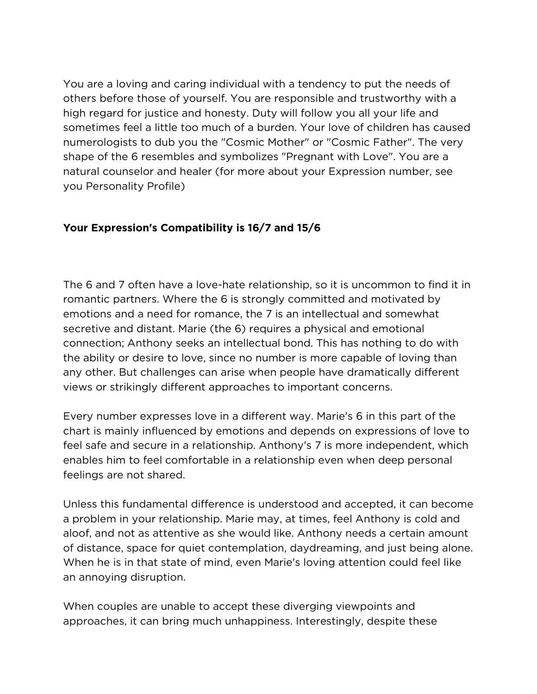You are a loving and caring individual with a tendency to put the needs of others before those of yourself. You are responsible and trustworthy with a high regard for justice and honesty. Duty will follow you all your life and sometimes feel a little too much of a burden. Your love of children has caused numerologists to dub you the "Cosmic Mother" or "Cosmic Father". The very shape of the 6 resembles and symbolizes "Pregnant with Love". You are a natural counselor and healer (for more about your Expression number, see you Personality Profile)

# **Your Expression's Compatibility is 16/7 and 15/6**

The 6 and 7 often have a love-hate relationship, so it is uncommon to find it in romantic partners. Where the 6 is strongly committed and motivated by emotions and a need for romance, the 7 is an intellectual and somewhat secretive and distant. Marie (the 6) requires a physical and emotional connection; Anthony seeks an intellectual bond. This has nothing to do with the ability or desire to love, since no number is more capable of loving than any other. But challenges can arise when people have dramatically different views or strikingly different approaches to important concerns.

Every number expresses love in a different way. Marie's 6 in this part of the chart is mainly influenced by emotions and depends on expressions of love to feel safe and secure in a relationship. Anthony's 7 is more independent, which enables him to feel comfortable in a relationship even when deep personal feelings are not shared.

Unless this fundamental difference is understood and accepted, it can become a problem in your relationship. Marie may, at times, feel Anthony is cold and aloof, and not as attentive as she would like. Anthony needs a certain amount of distance, space for quiet contemplation, daydreaming, and just being alone. When he is in that state of mind, even Marie's loving attention could feel like an annoying disruption.

When couples are unable to accept these diverging viewpoints and approaches, it can bring much unhappiness. Interestingly, despite these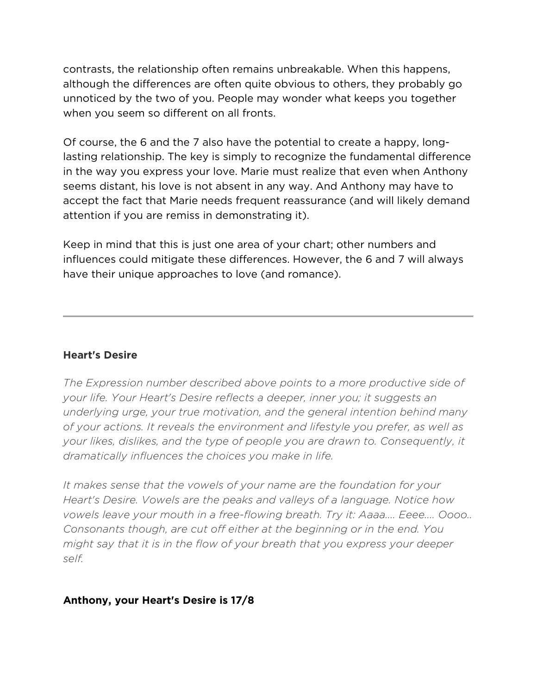contrasts, the relationship often remains unbreakable. When this happens, although the differences are often quite obvious to others, they probably go unnoticed by the two of you. People may wonder what keeps you together when you seem so different on all fronts.

Of course, the 6 and the 7 also have the potential to create a happy, longlasting relationship. The key is simply to recognize the fundamental difference in the way you express your love. Marie must realize that even when Anthony seems distant, his love is not absent in any way. And Anthony may have to accept the fact that Marie needs frequent reassurance (and will likely demand attention if you are remiss in demonstrating it).

Keep in mind that this is just one area of your chart; other numbers and influences could mitigate these differences. However, the 6 and 7 will always have their unique approaches to love (and romance).

#### **Heart's Desire**

*The Expression number described above points to a more productive side of your life. Your Heart's Desire reflects a deeper, inner you; it suggests an underlying urge, your true motivation, and the general intention behind many of your actions. It reveals the environment and lifestyle you prefer, as well as your likes, dislikes, and the type of people you are drawn to. Consequently, it dramatically influences the choices you make in life.*

*It makes sense that the vowels of your name are the foundation for your Heart's Desire. Vowels are the peaks and valleys of a language. Notice how vowels leave your mouth in a free-flowing breath. Try it: Aaaa.... Eeee.... Oooo.. Consonants though, are cut off either at the beginning or in the end. You might say that it is in the flow of your breath that you express your deeper self.*

#### **Anthony, your Heart's Desire is 17/8**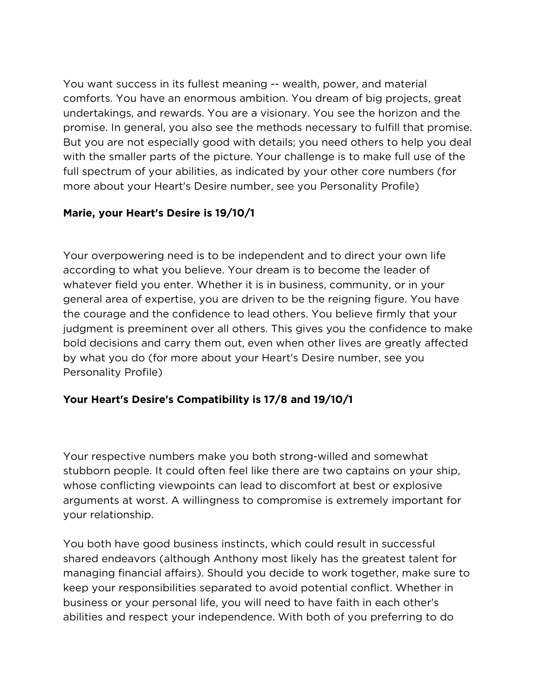You want success in its fullest meaning -- wealth, power, and material comforts. You have an enormous ambition. You dream of big projects, great undertakings, and rewards. You are a visionary. You see the horizon and the promise. In general, you also see the methods necessary to fulfill that promise. But you are not especially good with details; you need others to help you deal with the smaller parts of the picture. Your challenge is to make full use of the full spectrum of your abilities, as indicated by your other core numbers (for more about your Heart's Desire number, see you Personality Profile)

# **Marie, your Heart's Desire is 19/10/1**

Your overpowering need is to be independent and to direct your own life according to what you believe. Your dream is to become the leader of whatever field you enter. Whether it is in business, community, or in your general area of expertise, you are driven to be the reigning figure. You have the courage and the confidence to lead others. You believe firmly that your judgment is preeminent over all others. This gives you the confidence to make bold decisions and carry them out, even when other lives are greatly affected by what you do (for more about your Heart's Desire number, see you Personality Profile)

# **Your Heart's Desire's Compatibility is 17/8 and 19/10/1**

Your respective numbers make you both strong-willed and somewhat stubborn people. It could often feel like there are two captains on your ship, whose conflicting viewpoints can lead to discomfort at best or explosive arguments at worst. A willingness to compromise is extremely important for your relationship.

You both have good business instincts, which could result in successful shared endeavors (although Anthony most likely has the greatest talent for managing financial affairs). Should you decide to work together, make sure to keep your responsibilities separated to avoid potential conflict. Whether in business or your personal life, you will need to have faith in each other's abilities and respect your independence. With both of you preferring to do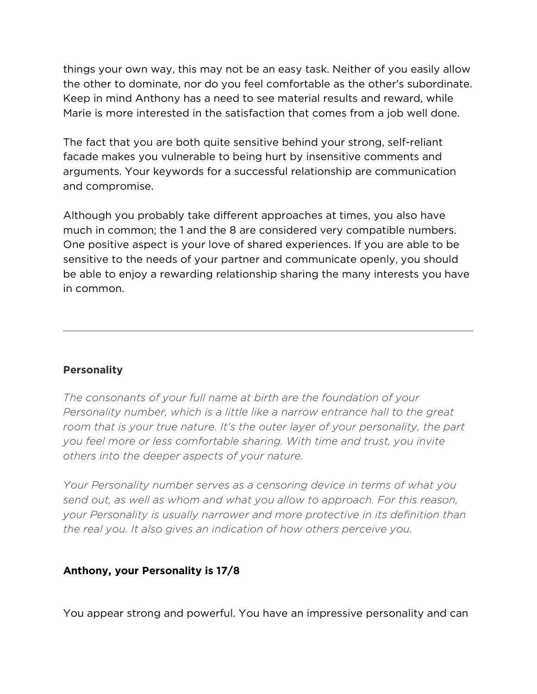things your own way, this may not be an easy task. Neither of you easily allow the other to dominate, nor do you feel comfortable as the other's subordinate. Keep in mind Anthony has a need to see material results and reward, while Marie is more interested in the satisfaction that comes from a job well done.

The fact that you are both quite sensitive behind your strong, self-reliant facade makes you vulnerable to being hurt by insensitive comments and arguments. Your keywords for a successful relationship are communication and compromise.

Although you probably take different approaches at times, you also have much in common; the 1 and the 8 are considered very compatible numbers. One positive aspect is your love of shared experiences. If you are able to be sensitive to the needs of your partner and communicate openly, you should be able to enjoy a rewarding relationship sharing the many interests you have in common.

# **Personality**

*The consonants of your full name at birth are the foundation of your Personality number, which is a little like a narrow entrance hall to the great*  room that is your true nature. It's the outer layer of your personality, the part *you feel more or less comfortable sharing. With time and trust, you invite others into the deeper aspects of your nature.*

*Your Personality number serves as a censoring device in terms of what you send out, as well as whom and what you allow to approach. For this reason, your Personality is usually narrower and more protective in its definition than the real you. It also gives an indication of how others perceive you.*

#### **Anthony, your Personality is 17/8**

You appear strong and powerful. You have an impressive personality and can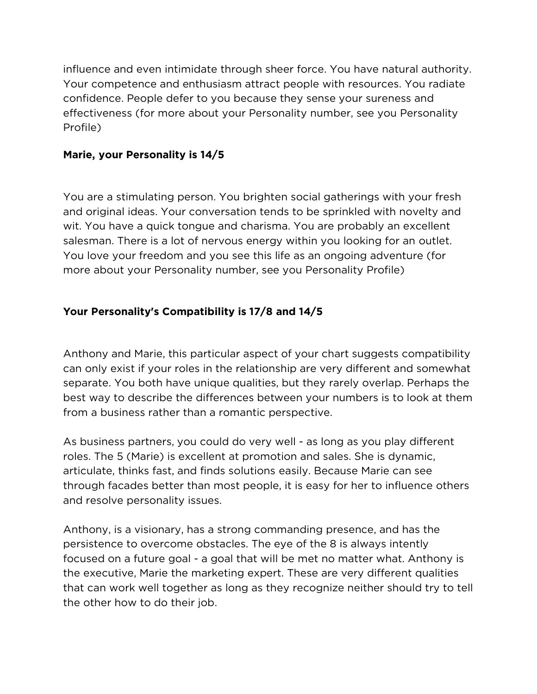influence and even intimidate through sheer force. You have natural authority. Your competence and enthusiasm attract people with resources. You radiate confidence. People defer to you because they sense your sureness and effectiveness (for more about your Personality number, see you Personality Profile)

#### **Marie, your Personality is 14/5**

You are a stimulating person. You brighten social gatherings with your fresh and original ideas. Your conversation tends to be sprinkled with novelty and wit. You have a quick tongue and charisma. You are probably an excellent salesman. There is a lot of nervous energy within you looking for an outlet. You love your freedom and you see this life as an ongoing adventure (for more about your Personality number, see you Personality Profile)

# **Your Personality's Compatibility is 17/8 and 14/5**

Anthony and Marie, this particular aspect of your chart suggests compatibility can only exist if your roles in the relationship are very different and somewhat separate. You both have unique qualities, but they rarely overlap. Perhaps the best way to describe the differences between your numbers is to look at them from a business rather than a romantic perspective.

As business partners, you could do very well - as long as you play different roles. The 5 (Marie) is excellent at promotion and sales. She is dynamic, articulate, thinks fast, and finds solutions easily. Because Marie can see through facades better than most people, it is easy for her to influence others and resolve personality issues.

Anthony, is a visionary, has a strong commanding presence, and has the persistence to overcome obstacles. The eye of the 8 is always intently focused on a future goal - a goal that will be met no matter what. Anthony is the executive, Marie the marketing expert. These are very different qualities that can work well together as long as they recognize neither should try to tell the other how to do their job.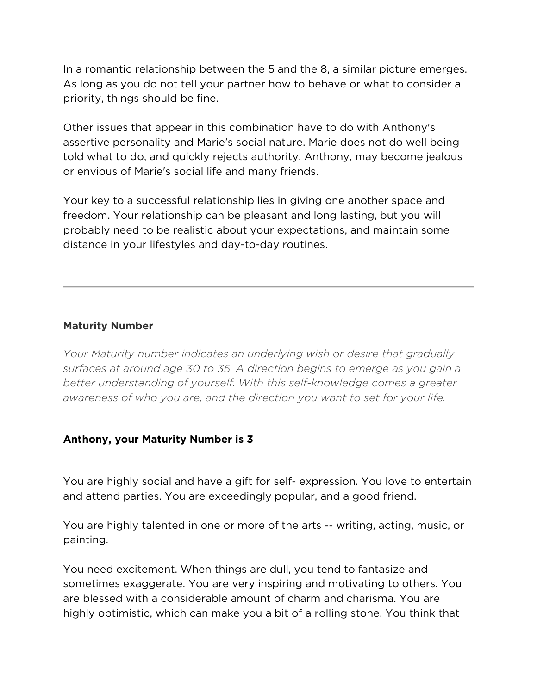In a romantic relationship between the 5 and the 8, a similar picture emerges. As long as you do not tell your partner how to behave or what to consider a priority, things should be fine.

Other issues that appear in this combination have to do with Anthony's assertive personality and Marie's social nature. Marie does not do well being told what to do, and quickly rejects authority. Anthony, may become jealous or envious of Marie's social life and many friends.

Your key to a successful relationship lies in giving one another space and freedom. Your relationship can be pleasant and long lasting, but you will probably need to be realistic about your expectations, and maintain some distance in your lifestyles and day-to-day routines.

### **Maturity Number**

*Your Maturity number indicates an underlying wish or desire that gradually surfaces at around age 30 to 35. A direction begins to emerge as you gain a better understanding of yourself. With this self-knowledge comes a greater awareness of who you are, and the direction you want to set for your life.*

#### **Anthony, your Maturity Number is 3**

You are highly social and have a gift for self- expression. You love to entertain and attend parties. You are exceedingly popular, and a good friend.

You are highly talented in one or more of the arts -- writing, acting, music, or painting.

You need excitement. When things are dull, you tend to fantasize and sometimes exaggerate. You are very inspiring and motivating to others. You are blessed with a considerable amount of charm and charisma. You are highly optimistic, which can make you a bit of a rolling stone. You think that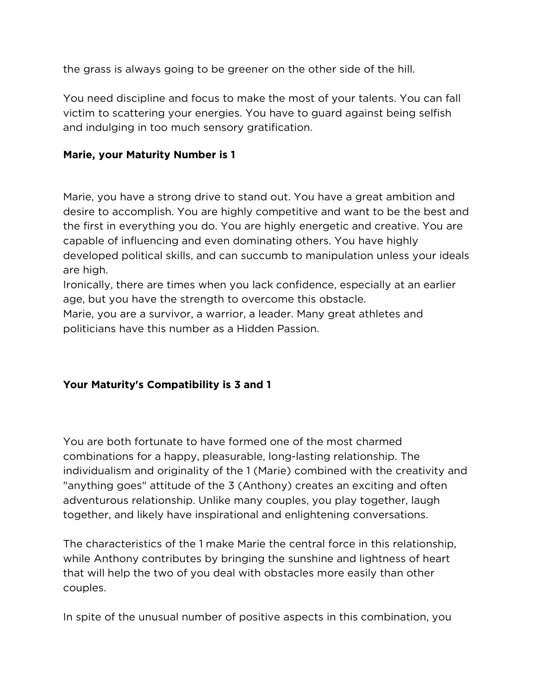the grass is always going to be greener on the other side of the hill.

You need discipline and focus to make the most of your talents. You can fall victim to scattering your energies. You have to guard against being selfish and indulging in too much sensory gratification.

### **Marie, your Maturity Number is 1**

Marie, you have a strong drive to stand out. You have a great ambition and desire to accomplish. You are highly competitive and want to be the best and the first in everything you do. You are highly energetic and creative. You are capable of influencing and even dominating others. You have highly developed political skills, and can succumb to manipulation unless your ideals are high.

Ironically, there are times when you lack confidence, especially at an earlier age, but you have the strength to overcome this obstacle.

Marie, you are a survivor, a warrior, a leader. Many great athletes and politicians have this number as a Hidden Passion.

# **Your Maturity's Compatibility is 3 and 1**

You are both fortunate to have formed one of the most charmed combinations for a happy, pleasurable, long-lasting relationship. The individualism and originality of the 1 (Marie) combined with the creativity and "anything goes" attitude of the 3 (Anthony) creates an exciting and often adventurous relationship. Unlike many couples, you play together, laugh together, and likely have inspirational and enlightening conversations.

The characteristics of the 1 make Marie the central force in this relationship, while Anthony contributes by bringing the sunshine and lightness of heart that will help the two of you deal with obstacles more easily than other couples.

In spite of the unusual number of positive aspects in this combination, you